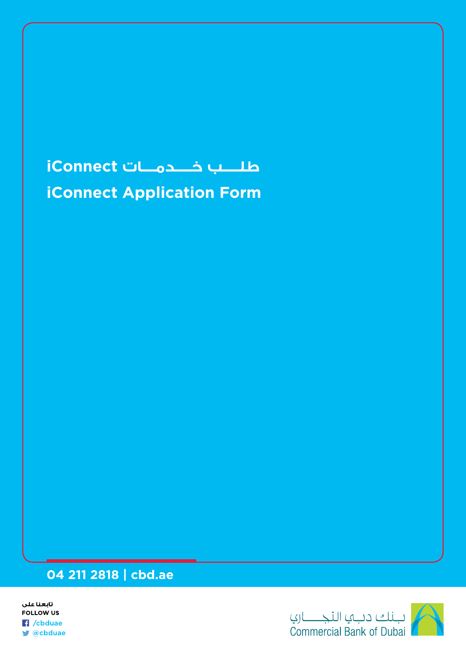## **طلـــــب خـــــدمــــات iConnect**

**iConnect Application Form** 

## **04 211 2818 | cbd.ae**



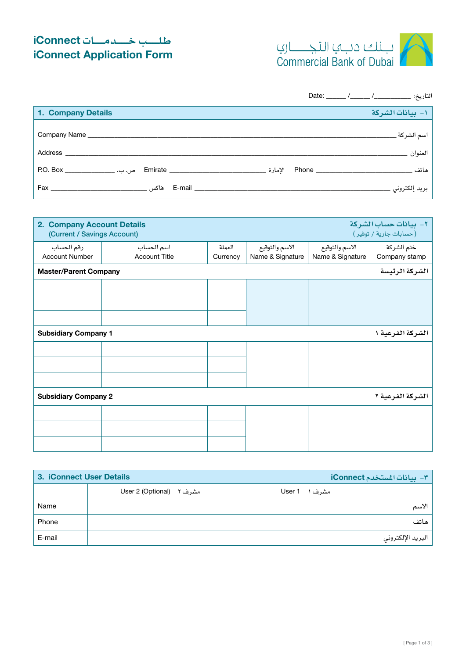## **طـلـــــب خــــــدمـــــات iConnect iConnect Application Form**



| 1. Company Details |  | 1- بيانات1اشركة |
|--------------------|--|-----------------|
|                    |  | اسم الشركة _    |
|                    |  |                 |
|                    |  |                 |
|                    |  |                 |

| 2. Company Account Details<br>(Current / Savings Account) |                                                 |                    |                                    |                                    | ٢- بيانات حساب الشركة<br>(حسابات جارية / توفير) |
|-----------------------------------------------------------|-------------------------------------------------|--------------------|------------------------------------|------------------------------------|-------------------------------------------------|
| رقم الحساب<br><b>Account Number</b>                       | اسم الحساب<br><b>Account Title</b>              | العملة<br>Currency | الاسم والتوقيع<br>Name & Signature | الاسم والتوقيع<br>Name & Signature | ختم الشركة<br>Company stamp                     |
| <b>Master/Parent Company</b>                              |                                                 |                    |                                    |                                    | الشركة الرئيسة                                  |
|                                                           |                                                 |                    |                                    |                                    |                                                 |
|                                                           |                                                 |                    |                                    |                                    |                                                 |
|                                                           |                                                 |                    |                                    |                                    |                                                 |
|                                                           | <b>Subsidiary Company 1</b><br>الشركة الفرعية ١ |                    |                                    |                                    |                                                 |
|                                                           |                                                 |                    |                                    |                                    |                                                 |
|                                                           |                                                 |                    |                                    |                                    |                                                 |
|                                                           |                                                 |                    |                                    |                                    |                                                 |
| <b>Subsidiary Company 2</b><br>الشركة الفرعية ٢           |                                                 |                    |                                    |                                    |                                                 |
|                                                           |                                                 |                    |                                    |                                    |                                                 |
|                                                           |                                                 |                    |                                    |                                    |                                                 |
|                                                           |                                                 |                    |                                    |                                    |                                                 |

| 3. iConnect User Details |                          |               | ٣- بيانات المستخدم iConnect |
|--------------------------|--------------------------|---------------|-----------------------------|
|                          | مشرف ۲ (Optional) مشرف ۲ | مشرف ا User 1 |                             |
| Name                     |                          |               | الأسم                       |
| Phone                    |                          |               | هاتف                        |
| E-mail                   |                          |               | البريد الإلكتروني           |